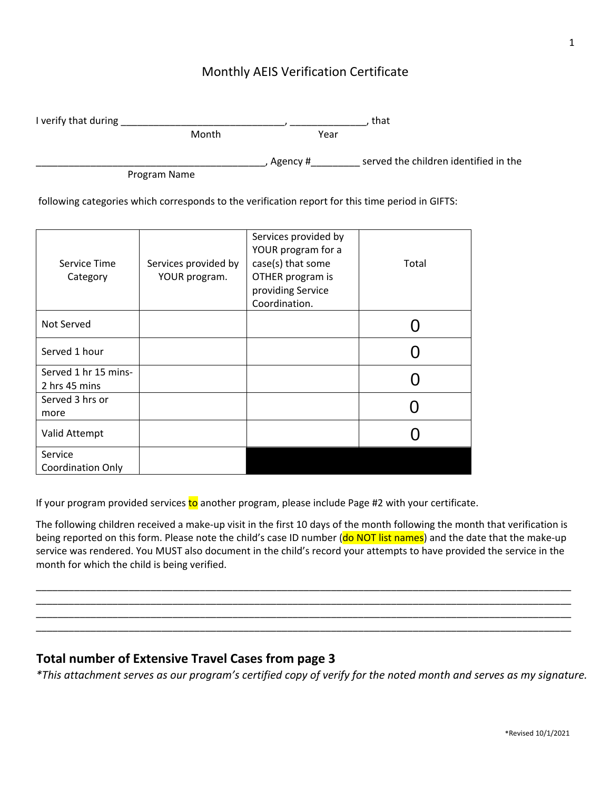## Monthly AEIS Verification Certificate

| I verify that during |       | that       |                                       |
|----------------------|-------|------------|---------------------------------------|
|                      | Month | Year       |                                       |
|                      |       | , Agency # | served the children identified in the |

Program Name

following categories which corresponds to the verification report for this time period in GIFTS:

| Service Time<br>Category              | Services provided by<br>YOUR program. | Services provided by<br>YOUR program for a<br>case(s) that some<br>OTHER program is<br>providing Service<br>Coordination. | Total |
|---------------------------------------|---------------------------------------|---------------------------------------------------------------------------------------------------------------------------|-------|
| Not Served                            |                                       |                                                                                                                           |       |
| Served 1 hour                         |                                       |                                                                                                                           |       |
| Served 1 hr 15 mins-<br>2 hrs 45 mins |                                       |                                                                                                                           |       |
| Served 3 hrs or<br>more               |                                       |                                                                                                                           |       |
| Valid Attempt                         |                                       |                                                                                                                           |       |
| Service<br><b>Coordination Only</b>   |                                       |                                                                                                                           |       |

If your program provided services to another program, please include Page #2 with your certificate.

The following children received a make-up visit in the first 10 days of the month following the month that verification is being reported on this form. Please note the child's case ID number (do NOT list names) and the date that the make-up service was rendered. You MUST also document in the child's record your attempts to have provided the service in the month for which the child is being verified.

\_\_\_\_\_\_\_\_\_\_\_\_\_\_\_\_\_\_\_\_\_\_\_\_\_\_\_\_\_\_\_\_\_\_\_\_\_\_\_\_\_\_\_\_\_\_\_\_\_\_\_\_\_\_\_\_\_\_\_\_\_\_\_\_\_\_\_\_\_\_\_\_\_\_\_\_\_\_\_\_\_\_\_\_\_\_\_\_\_\_\_\_\_\_\_\_\_\_ \_\_\_\_\_\_\_\_\_\_\_\_\_\_\_\_\_\_\_\_\_\_\_\_\_\_\_\_\_\_\_\_\_\_\_\_\_\_\_\_\_\_\_\_\_\_\_\_\_\_\_\_\_\_\_\_\_\_\_\_\_\_\_\_\_\_\_\_\_\_\_\_\_\_\_\_\_\_\_\_\_\_\_\_\_\_\_\_\_\_\_\_\_\_\_\_\_\_ \_\_\_\_\_\_\_\_\_\_\_\_\_\_\_\_\_\_\_\_\_\_\_\_\_\_\_\_\_\_\_\_\_\_\_\_\_\_\_\_\_\_\_\_\_\_\_\_\_\_\_\_\_\_\_\_\_\_\_\_\_\_\_\_\_\_\_\_\_\_\_\_\_\_\_\_\_\_\_\_\_\_\_\_\_\_\_\_\_\_\_\_\_\_\_\_\_\_ \_\_\_\_\_\_\_\_\_\_\_\_\_\_\_\_\_\_\_\_\_\_\_\_\_\_\_\_\_\_\_\_\_\_\_\_\_\_\_\_\_\_\_\_\_\_\_\_\_\_\_\_\_\_\_\_\_\_\_\_\_\_\_\_\_\_\_\_\_\_\_\_\_\_\_\_\_\_\_\_\_\_\_\_\_\_\_\_\_\_\_\_\_\_\_\_\_\_

## **Total number of Extensive Travel Cases from page 3**

*\*This attachment serves as our program's certified copy of verify for the noted month and serves as my signature.*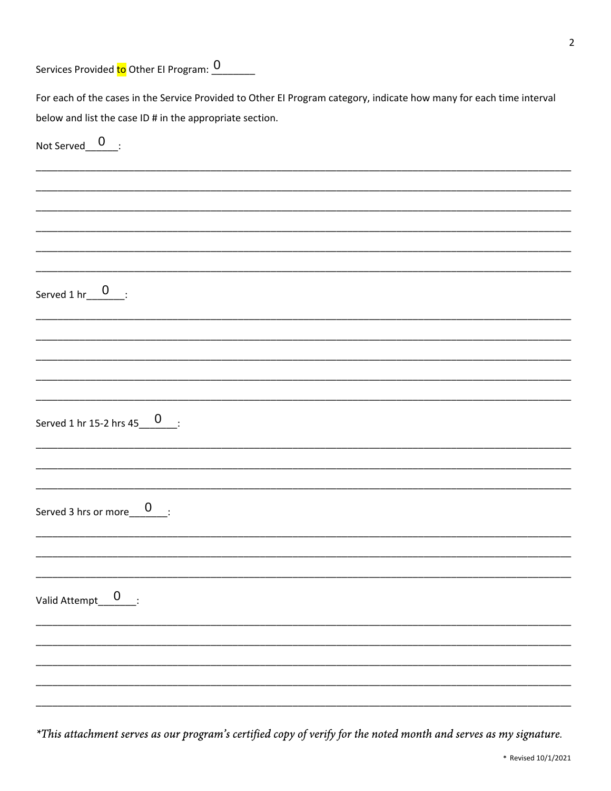Services Provided to Other El Program: 0

| For each of the cases in the Service Provided to Other EI Program category, indicate how many for each time interval |
|----------------------------------------------------------------------------------------------------------------------|
| below and list the case ID # in the appropriate section.                                                             |
| Not Served $0$ :                                                                                                     |
|                                                                                                                      |
|                                                                                                                      |
|                                                                                                                      |
|                                                                                                                      |
|                                                                                                                      |
| Served $1 \text{ hr}$ $0$ :                                                                                          |
|                                                                                                                      |
|                                                                                                                      |
|                                                                                                                      |
|                                                                                                                      |
| Served 1 hr 15-2 hrs $45_{\_}0$ :                                                                                    |
|                                                                                                                      |
|                                                                                                                      |
| Served 3 hrs or more $\underline{\hspace{1cm}} 0$ :                                                                  |
|                                                                                                                      |
|                                                                                                                      |
| Valid Attempt_0___:                                                                                                  |
|                                                                                                                      |
|                                                                                                                      |
|                                                                                                                      |
|                                                                                                                      |

\*This attachment serves as our program's certified copy of verify for the noted month and serves as my signature.